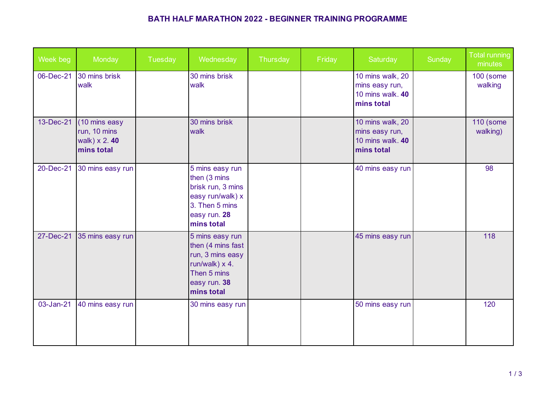## **BATH HALF MARATHON 2022 - BEGINNER TRAINING PROGRAMME**

| Week beg  | Monday                                                             | Tuesday | Wednesday                                                                                                                      | Thursday | Friday | Saturday                                                             | Sunday | <b>Total running</b><br>minutes |
|-----------|--------------------------------------------------------------------|---------|--------------------------------------------------------------------------------------------------------------------------------|----------|--------|----------------------------------------------------------------------|--------|---------------------------------|
| 06-Dec-21 | 30 mins brisk<br>walk                                              |         | 30 mins brisk<br>walk                                                                                                          |          |        | 10 mins walk, 20<br>mins easy run,<br>10 mins walk. 40<br>mins total |        | <b>100 (some</b><br>walking     |
| 13-Dec-21 | (10 mins easy<br>run, 10 mins<br>walk) $\times$ 2.40<br>mins total |         | 30 mins brisk<br>walk                                                                                                          |          |        | 10 mins walk, 20<br>mins easy run,<br>10 mins walk. 40<br>mins total |        | <b>110 (some</b><br>walking)    |
| 20-Dec-21 | 30 mins easy run                                                   |         | 5 mins easy run<br>then (3 mins<br>brisk run, 3 mins<br>easy run/walk) x<br>3. Then 5 mins<br>easy run. 28<br>mins total       |          |        | 40 mins easy run                                                     |        | 98                              |
| 27-Dec-21 | 35 mins easy run                                                   |         | 5 mins easy run<br>then (4 mins fast<br>run, 3 mins easy<br>$run/walk) \times 4.$<br>Then 5 mins<br>easy run. 38<br>mins total |          |        | 45 mins easy run                                                     |        | 118                             |
| 03-Jan-21 | 40 mins easy run                                                   |         | 30 mins easy run                                                                                                               |          |        | 50 mins easy run                                                     |        | 120                             |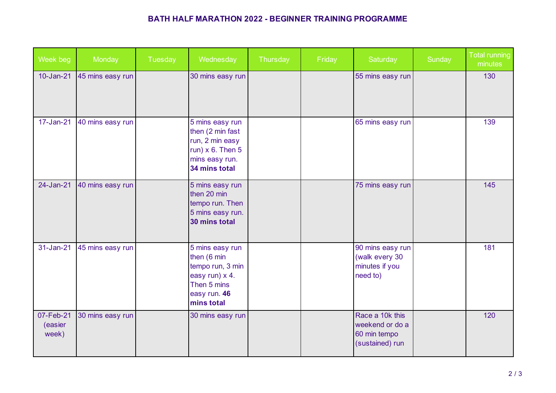## **BATH HALF MARATHON 2022 - BEGINNER TRAINING PROGRAMME**

| Week beg                      | Monday           | Tuesday | Wednesday                                                                                                         | Thursday | Friday | Saturday                                                              | Sunday | <b>Total running</b><br>minutes |
|-------------------------------|------------------|---------|-------------------------------------------------------------------------------------------------------------------|----------|--------|-----------------------------------------------------------------------|--------|---------------------------------|
| 10-Jan-21                     | 45 mins easy run |         | 30 mins easy run                                                                                                  |          |        | 55 mins easy run                                                      |        | 130                             |
| 17-Jan-21                     | 40 mins easy run |         | 5 mins easy run<br>then (2 min fast<br>run, 2 min easy<br>run) $x$ 6. Then 5<br>mins easy run.<br>34 mins total   |          |        | 65 mins easy run                                                      |        | 139                             |
| 24-Jan-21                     | 40 mins easy run |         | 5 mins easy run<br>then 20 min<br>tempo run. Then<br>5 mins easy run.<br>30 mins total                            |          |        | 75 mins easy run                                                      |        | 145                             |
| 31-Jan-21                     | 45 mins easy run |         | 5 mins easy run<br>then (6 min<br>tempo run, 3 min<br>easy run) x 4.<br>Then 5 mins<br>easy run. 46<br>mins total |          |        | 90 mins easy run<br>(walk every 30<br>minutes if you<br>need to)      |        | 181                             |
| 07-Feb-21<br>(easier<br>week) | 30 mins easy run |         | 30 mins easy run                                                                                                  |          |        | Race a 10k this<br>weekend or do a<br>60 min tempo<br>(sustained) run |        | 120                             |